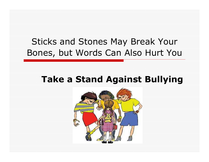#### Sticks and Stones May Break Your Bones, but Words Can Also Hurt You

#### Take a Stand Against Bullying

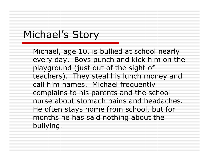## Michael's Story

Michael, age 10, is bullied at school nearly every day. Boys punch and kick him on the playground (just out of the sight of teachers). They steal his lunch money and call him names. Michael frequently complains to his parents and the school nurse about stomach pains and headaches. He often stays home from school, but for months he has said nothing about the bullying.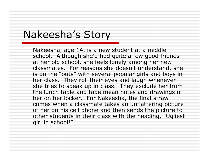#### Nakeesha's Story

Nakeesha, age 14, is a new student at a middle school. Although she'd had quite a few good friends at her old school, she feels lonely among her new classmates. For reasons she doesn't understand, she is on the "outs" with several popular girls and boys in her class. They roll their eyes and laugh whenever she tries to speak up in class. They exclude her from the lunch table and tape mean notes and drawings ofher on her locker. For Nakeesha, the final straw comes when a classmate takes an unflattering picture of her on his cell phone and then sends the picture to other students in their class with the heading, "Ugliest girl in school!"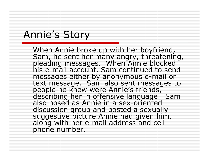#### Annie's Story

When Annie broke up with her boyfriend,<br>Sam, he sent her many angry, threatening,<br>pleading messages. When Annie blocked<br>his e-mail account, Sam continued to send messages either by anonymous e-mail or<br>text message. Sam also sent messages to messages either by anonymous e-mail or<br>text message. Sam also sent messages to<br>people he knew were Annie's friends,<br>describing her in offensive language. Sam<br>also posed as Annie in a sex-oriented<sub>.</sub> discussion group and posted a sexually<br>suggestive picture Annie had given him,<br>along with her e-mail address and cell<br>phone number.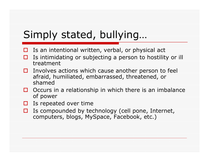## Simply stated, bullying…

- $\Box$  Is an intentional written, verbal, or physical act
- $\blacksquare$  Is intimidating or subjecting a person to hostility or ill treatment
- Involves actions which cause another person to feel<br>afraid humiliated embarrassed threatened or afraid, humiliated, embarrassed, threatened, or shamed
- $\Box$  Occurs in a relationship in which there is an imbalance of nower of power
- $\Box$  Is repeated over time
- $\Box$  Is compounded by technology (cell pone, Internet,<br>computers, blogs, MySpace, Eacebook, etc.) computers, blogs, MySpace, Facebook, etc.)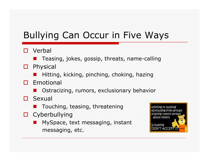## Bullying Can Occur in Five Ways

#### $\Box$  Verbal

- Teasing, jokes, gossip, threats, name-calling
- □ Physical<br>■ Uittis
	- **•** Hitting, kicking, pinching, choking, hazing
- Emotional<br>Emotional
	- Ostracizing, rumors, exclusionary behavior
- $\square$  Sexual
	- **n** Touching, teasing, threatening
- □ Cyberbullying
	- MySpace, text messaging, instant messaging, etc.

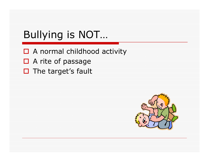# Bullying is NOT…

- □ A normal childhood activity
- □ A rite of passage
- $\square$  The target's fault

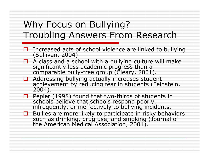#### Why Focus on Bullying?Troubling Answers From Research

- □ Increased acts of school violence are linked to bullying<br>(Sullivan, 2004).
- $\Box$  A class and a sc A class and a seriest with a banying calcare?<br>
significantly less academic progress than a<br>
comparable bully-free group (Cleary, 2001).
- □ Addressing bullying actually increases student<br>achievement by reducing fear in students (Feinstein,<br>2004).
- $\Box$  Pepler (1998) found that two-thirds of students in schools believe that schools respond poorly.  $\Box$ schools believe that schools respond poorly,<br>infrequently, or ineffectively to bullying incidents.
- **□** Bullies are more likely to participate in risky behaviors such as drinking, drug use, and smoking (Journal of  $\Box$ the American Medical Association, 2001).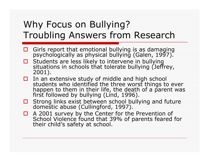#### Why Focus on Bullying?Troubling Answers from Research

- Girls report that emotional bullying is as damaging<br>psychologically as physical bullying (Galen, 1997).
- $\Box$ Students are less likely to intervene in bullying<br>situations in schools that tolerate bullying (Jeffrey,<br>2001).
- In an extensive study of middle and high school<br>students who identified the three worst things to ever<br>happen to them in their life, the death of a parent was<br>first followed by bullying (Lind, 1996).
- □ Strong links exist between school bullying and future domestic abuse (Cullingford, 1997).
- $\Box$  A 2001 survey by the Center for the Prevention of School Violence found that 39% of parents feared School Violence found that 39% of parents feared for<br>their child's safety at school.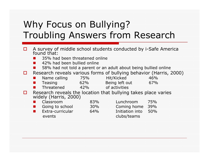#### Why Focus on Bullying?Troubling Answers from Research

- п A survey of middle school students conducted by i-Safe America found that:
	- **35% had been threatened online** -
	- -42% had been bullied online
	- -58% had not told a parent or an adult about being bullied online
- Ω. Research reveals various forms of bullying behavior (Harris, 2000)

| Name calling | 75% | Hit/Kicked                                                          | 46% |
|--------------|-----|---------------------------------------------------------------------|-----|
| Teasing      | 62% | Being left out                                                      | 67% |
| Threatened   | 42% | of activities                                                       |     |
|              |     | Deserte de la carda (les legalles (les) le llei de la carda de la c |     |

п **Q** Research reveals the location that bullying takes place varies widely (Harris, 2000)

| Classroom        | 83% | Lunchroom       | 75% |
|------------------|-----|-----------------|-----|
| Going to school  | 30% | Coming home     | 39% |
| Extra-curricular | 64% | Initiation into | 50% |
| events           |     | clubs/teams     |     |
|                  |     |                 |     |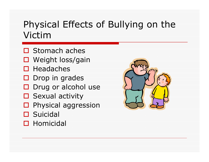#### Physical Effects of Bullying on the Victim

- □ Stomach aches
- □ Weight loss/gain
- **□** Headaches
- Drop in grades
- □ Drug or alcohol use<br>□ Cexual activity
- □ Sexual activity
- **D** Physical aggression
- **□** Suicidal<br>□ Uemisis
- □ Homicidal

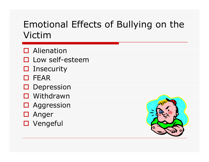#### Emotional Effects of Bullying on the Victim

- □ Alienation
- □ Low self-esteem
- **O** Insecurity<br>D FEAR
- **O** FEAR<br>Deax
- **D** Depression
- □ Withdrawn<br>□ Acareceien
- □ Aggression<br>□ Anger
- □ Anger<br>□ Verse
- Vengeful

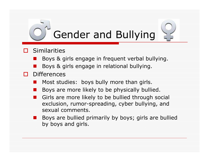# Gender and Bullying

#### $\Box$ **Similarities**

- Boys & girls engage in frequent verbal bullying.
- Boys & girls engage in relational bullying.

#### $\Box$  Differences

- -Most studies: boys bully more than girls.
- Boys are more likely to be physically bullied.
- Girls are more likely to be bullied through social exclusion, rumor-spreading, cyber bullying, and sexual comments.
- - Boys are bullied primarily by boys; girls are bullied by boys and girls.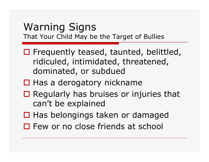#### Warning SignsThat Your Child May be the Target of Bullies

- $\Box$  Frequently teased, taunted, belittled, ridiculed, intimidated, threatened, dominated, or subdued
- □ Has a derogatory nickname
- $\Box$  Regularly has bruises or injuries that  $\Box$ can't be explained
- □ Has belongings taken or damaged
- $\square$  Few or no close friends at school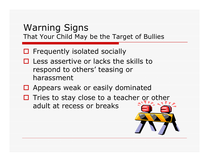#### Warning SignsThat Your Child May be the Target of Bullies

# □ Frequently isolated socially

- $\Box$  Less assertive or lacks the skills to  $\Box$ respond to others' teasing or harassment
- □ Appears weak or easily dominated
- $\Box$  Tries to stay close to a teacher or other adult at recess or breaks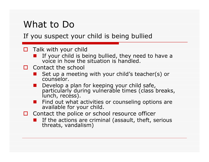#### What to Do

#### If you suspect your child is being bullied

#### $\Box$  Talk with your child

- **E** If your child is being bullied, they need to have a<br>voice in how the situation is handled.
- $\Box$  Contact the school
	- Set up a meeting with your child's teacher(s) or<br>counselor.
	- Develop a plan for keeping your child safe,<br>particularly during vulnerable times (class breaks, lunch, recess).
	- Find out what activities or counseling options are available for your child.
- $\Box$  Contact the police or school resource officer
	- **E** If the actions are criminal (assault, theft, serious threats, vandalism)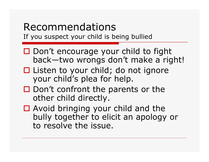# Recommendations

If you suspect your child is being bullied

- □ Don't encourage your child to fight<br>hack—two wrongs don't make a rigl back—two wrongs don't make a right!
- □ Listen to your child; do not ignore<br>Uour child's plea for help your child's plea for help.
- $\square$  Don't confront the parents or the  $\overline{\phantom{a}}$ other child directly.
- □ Avoid bringing your child and the<br>hully together to elicit an anology bully together to elicit an apology or to resolve the issue.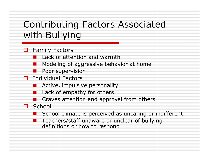#### Contributing Factors Associated with Bullying

#### Family Factors<br>Factors Lack of atto

- **Lack of attention and warmth**
- -Modeling of aggressive behavior at home
- -Poor supervision
- Individual Factors<br>Active impulsiv
	- **E** Active, impulsive personality
	- Lack of empathy for others
	- -Craves attention and approval from others

#### $\Box$  School

- School climate is perceived as uncaring or indifferent
- - Teachers/staff unaware or unclear of bullying definitions or how to respond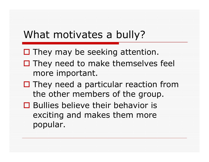#### What motivates a bully?

- □ They may be seeking attention.
- $\Box$  They need to make themselves feel more important.
- $\square$  They need a particular reaction from  $\square$ the other members of the group.
- □ Bullies believe their behavior is<br>exciting and makes them more exciting and makes them more popular.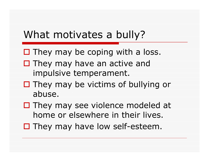## What motivates a bully?

- $\square$  They may be coping with a loss.
- $\square$  They may have an active and  $\square$ impulsive temperament.
- $\Box$  They may be victims of bullying or abuse.
- $\square$  They may see violence modeled at  $\square$ home or elsewhere in their lives.
- $\square$  They may have low self-esteem.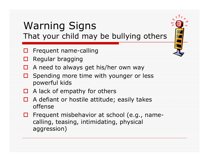#### Warning SignsThat your child may be bullying others

- **O** Frequent name-calling
- $\Box$ Regular bragging
- $\Box$  A need to always get his/her own way
- $\square$  Spending more time with younger or less nowerful kids powerful kids
- $\Box$  A lack of empathy for others
- $\Box$  A defiant or hostile attitude; easily takes offense
- $\Box$  Frequent misbehavior at school (e.g., namecalling, teasing, intimidating, physical aggression)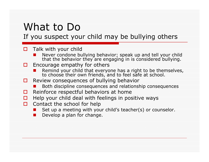## What to Do

If you suspect your child may be bullying others

#### $\square$  Talk with your child

- -Never condone bullying behavior; speak up and tell your child that the behavior they are engaging in is considered bullying.
- $\Box$  Encourage empathy for others
	- -Remind your child that everyone has a right to be themselves, to choose their own friends, and to feel safe at school.
- $\Box$  Review consequences of bullying behavior
	- -Both discipline consequences and relationship consequences
- 0 Reinforce respectful behaviors at home
- п Help your child deal with feelings in positive ways
- $\square$  Contact the school for help
	- -Set up a meeting with your child's teacher(s) or counselor.
	- -Develop a plan for change.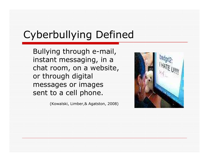## Cyberbullying Defined

Bullying through e-mail, instant messaging, in a chat room, on a website, or through digital messages or images sent to a cell phone.

(Kowalski, Limber,& Agatston, 2008)

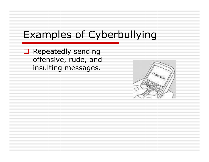## Examples of Cyberbullying

□ Repeatedly sending<br>
offensive rude and offensive, rude, and insulting messages.

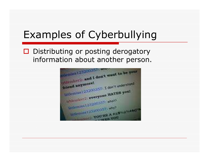## Examples of Cyberbullying

#### □ Distributing or posting derogatory information about another person.

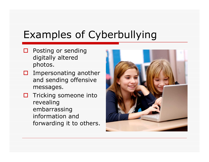## Examples of Cyberbullying

- $\Box$  Posting or sending<br>digitally altered digitally altered photos.
- $\square$  Impersonating another and sending offensive messages.
- Tricking someone into<br>Fovealing revealing embarrassing information and forwarding it to others.

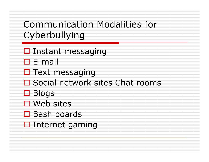## Communication Modalities for Cyberbullying

- **O** Instant messaging
- □ E-mail<br>□ Text e
- **O** Text messaging
- □ Social network sites Chat rooms
- ロ Blogs<br>ロ Web
- □ Web sites
- □ Bash boards<br>□ Internet san
- **□** Internet gaming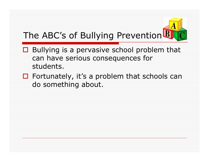## The ABC's of Bullying Prevention<sup>B</sup>

- $\Box$  Bullying is a pervasive school problem that  $\Box$ can have serious consequences for students.
- $\Box$  Fortunately, it's a problem that schools can<br>do something about do something about.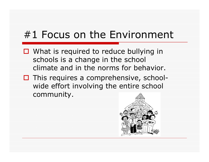## #1 Focus on the Environment

- $\Box$  What is required to reduce bullying in  $\Box$ schools is a change in the school climate and in the norms for behavior.
- $\Box$  This requires a comprehensive, school-<br>wide effort involving the entire school wide effort involving the entire school community.

![](_page_28_Picture_3.jpeg)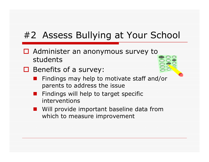#### #2 Assess Bullying at Your School

- □ Administer an anonymous survey to students
- □ Benefits of a survey:
	- **Findings may help to motivate staff and/or** parents to address the issue
	- **E** Findings will help to target specific interventions
	- **U** Will provide important baseline data from which to measure improvement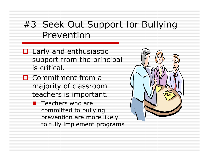#### #3 Seek Out Support for Bullying Prevention

- $\Box$  Early and enthusiastic  $\Box$ support from the principal is critical.
- □ Commitment from a majority of classroom teachers is important.
	- **E** Teachers who are committed to bullying prevention are more likely to fully implement programs

![](_page_30_Picture_4.jpeg)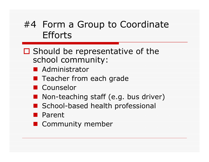#### #4 Form a Group to Coordinate **Efforts**

- □ Should be representative of the<br>school community: school community:
	- Administrator<br>- <del>-</del>
	- **E** Teacher from each grade
	- Counselor<br>— N
	- Non-teaching staff (e.g. bus driver)
	- **School-based health professional**
	- Parent
	- Community member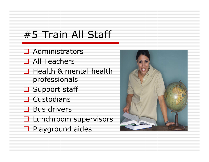## #5 Train All Staff

- **O** Administrators
- **O** All Teachers
- $\Box$  Health & mental health professionals
- □ Support staff
- □ Custodians
- □ Bus drivers
- □ Lunchroom supervisors
- □ Playground aides

![](_page_32_Picture_9.jpeg)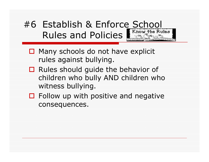### #6 Establish & Enforce School Rules and Policies

- $\Box$  Many schools do not have explicit  $\Box$ rules against bullying.
- □ Rules should guide the behavior of children who bully AND children who witness bullying.
- $\Box$  Follow up with positive and negative consequences.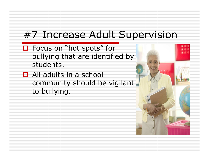## #7 Increase Adult Supervision

- $\Box$  Focus on "hot spots" for<br>hullving that are identifie bullying that are identified by students.
- □ All adults in a school community should be vigilant to bullying.

![](_page_34_Picture_3.jpeg)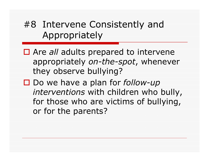#### #8 Intervene Consistently and Appropriately

- $\Box$  Are *all* adults prepared to intervene appropriately on-the-spot, whenever they observe bullying?
- $\square$  Do we have a plan for *follow-up interventions* with children who bully, for those who are victims of bullying, or for the parents?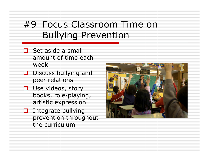#### #9 Focus Classroom Time on Bullying Prevention

- $\square$  Set aside a small<br>3mount of time ex amount of time each week.
- $\Box$  Discuss bullying and  $\Box$ peer relations.
- $\Box$  Use videos, story<br>books role-playin books, role-playing, artistic expression
- $\Box$  Integrate bullying prevention throughout the curriculum

![](_page_36_Picture_5.jpeg)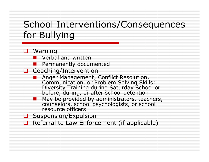#### School Interventions/Consequences for Bullying

#### ■ Warning<br>Werba

- -Verbal and written
- -Permanently documented
- Coaching/Intervention<br>Coaching/Intervention
	- Anger Management; Conflict Resolution, Communication, or Problem Solving Skills; Diversity Training during Saturday School or before, during, or after school detention
	- **E** May be provided by administrators, teachers, measured by administrators, teachers, counselors, school psychologists, or school resource officers
- $\Box$ Suspension/Expulsion
- $\Box$  Referral to Law Enforcement (if applicable)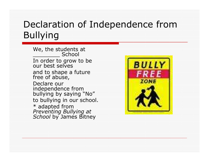#### Declaration of Independence from Bullying

We, the students at \_\_\_\_\_\_\_\_ School In order to grow to be<br>our best selves and to shape a future<br>free of abuse, Declare our independence from<br>bullying by saying "No" to bullying in our school.\* adapted from<br>*Preventing Bullying at*<br>*School* by James Bitney

![](_page_38_Picture_2.jpeg)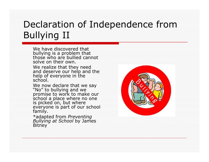#### Declaration of Independence from Bullying II

We have discovered that bullying is a problem that<br>those who are bullied cannot solve on their own.

We realize that they need and deserve our help and the<br>help of everyone in the<br>school.

We now declare that we say "No" to bullying and we<br>promise to work to make our<br>school a place where no one<br>is picked on, but where<br>everyone is part of our school<br>family.

\*adapted from *Preventing*<br>*Bullying at School* by James<br>Bitney Bitney

![](_page_39_Picture_5.jpeg)